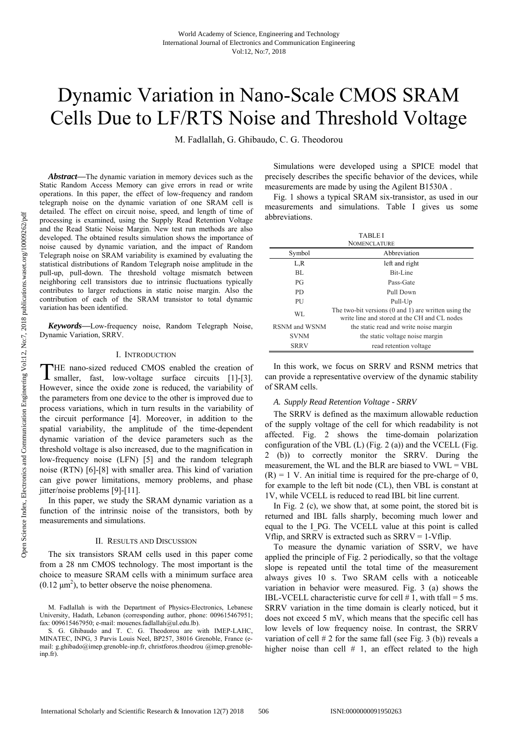# Dynamic Variation in Nano-Scale CMOS SRAM Cells Due to LF/RTS Noise and Threshold Voltage

M. Fadlallah, G. Ghibaudo, C. G. Theodorou

*Abstract***—**The dynamic variation in memory devices such as the Static Random Access Memory can give errors in read or write operations. In this paper, the effect of low-frequency and random telegraph noise on the dynamic variation of one SRAM cell is detailed. The effect on circuit noise, speed, and length of time of processing is examined, using the Supply Read Retention Voltage and the Read Static Noise Margin. New test run methods are also developed. The obtained results simulation shows the importance of noise caused by dynamic variation, and the impact of Random Telegraph noise on SRAM variability is examined by evaluating the statistical distributions of Random Telegraph noise amplitude in the pull-up, pull-down. The threshold voltage mismatch between neighboring cell transistors due to intrinsic fluctuations typically contributes to larger reductions in static noise margin. Also the contribution of each of the SRAM transistor to total dynamic variation has been identified.

*Keywords***—**Low-frequency noise, Random Telegraph Noise, Dynamic Variation, SRRV.

# I. INTRODUCTION

HE nano-sized reduced CMOS enabled the creation of THE nano-sized reduced CMOS enabled the creation of smaller, fast, low-voltage surface circuits [1]-[3]. However, since the oxide zone is reduced, the variability of the parameters from one device to the other is improved due to process variations, which in turn results in the variability of the circuit performance [4]. Moreover, in addition to the spatial variability, the amplitude of the time-dependent dynamic variation of the device parameters such as the threshold voltage is also increased, due to the magnification in low-frequency noise (LFN) [5] and the random telegraph noise (RTN) [6]-[8] with smaller area. This kind of variation can give power limitations, memory problems, and phase jitter/noise problems [9]-[11].

In this paper, we study the SRAM dynamic variation as a function of the intrinsic noise of the transistors, both by measurements and simulations.

## II. RESULTS AND DISCUSSION

The six transistors SRAM cells used in this paper come from a 28 nm CMOS technology. The most important is the choice to measure SRAM cells with a minimum surface area  $(0.12 \mu m^2)$ , to better observe the noise phenomena.

M. Fadlallah is with the Department of Physics-Electronics, Lebanese University, Hadath, Lebanon (corresponding author, phone: 009615467951; fax: 009615467950; e-mail: mouenes.fadlallah@ul.edu.lb).

S. G. Ghibaudo and T. C. G. Theodorou are with IMEP-LAHC, MINATEC, INPG, 3 Parvis Louis Neel, BP257, 38016 Grenoble, France (email: g.ghibado@imep.grenoble-inp.fr, christforos.theodrou @imep.grenobleinp.fr).

Simulations were developed using a SPICE model that precisely describes the specific behavior of the devices, while measurements are made by using the Agilent B1530A .

Fig. 1 shows a typical SRAM six-transistor, as used in our measurements and simulations. Table I gives us some abbreviations.

| <b>TABLEI</b>       |                                                                                                      |
|---------------------|------------------------------------------------------------------------------------------------------|
| <b>NOMENCLATURE</b> |                                                                                                      |
| Symbol              | Abbreviation                                                                                         |
| L,R                 | left and right                                                                                       |
| BL.                 | Bit-Line                                                                                             |
| PG                  | Pass-Gate                                                                                            |
| PD.                 | Pull Down                                                                                            |
| PU                  | Pull-Up                                                                                              |
| WL                  | The two-bit versions (0 and 1) are written using the<br>write line and stored at the CH and CL nodes |
| RSNM and WSNM       | the static read and write noise margin                                                               |
| <b>SVNM</b>         | the static voltage noise margin                                                                      |
| SRRV                | read retention voltage                                                                               |

In this work, we focus on SRRV and RSNM metrics that can provide a representative overview of the dynamic stability of SRAM cells.

#### *A. Supply Read Retention Voltage - SRRV*

The SRRV is defined as the maximum allowable reduction of the supply voltage of the cell for which readability is not affected. Fig. 2 shows the time-domain polarization configuration of the VBL (L) (Fig. 2 (a)) and the VCELL (Fig. 2 (b)) to correctly monitor the SRRV. During the measurement, the WL and the BLR are biased to VWL = VBL  $(R) = 1$  V. An initial time is required for the pre-charge of 0, for example to the left bit node (CL), then VBL is constant at 1V, while VCELL is reduced to read IBL bit line current.

In Fig. 2 (c), we show that, at some point, the stored bit is returned and IBL falls sharply, becoming much lower and equal to the I\_PG. The VCELL value at this point is called Vflip, and SRRV is extracted such as  $SRRV = 1$ -Vflip.

To measure the dynamic variation of SSRV, we have applied the principle of Fig. 2 periodically, so that the voltage slope is repeated until the total time of the measurement always gives 10 s. Two SRAM cells with a noticeable variation in behavior were measured. Fig. 3 (a) shows the IBL-VCELL characteristic curve for cell  $# 1$ , with tfall = 5 ms. SRRV variation in the time domain is clearly noticed, but it does not exceed 5 mV, which means that the specific cell has low levels of low frequency noise. In contrast, the SRRV variation of cell  $# 2$  for the same fall (see Fig. 3 (b)) reveals a higher noise than cell  $# 1$ , an effect related to the high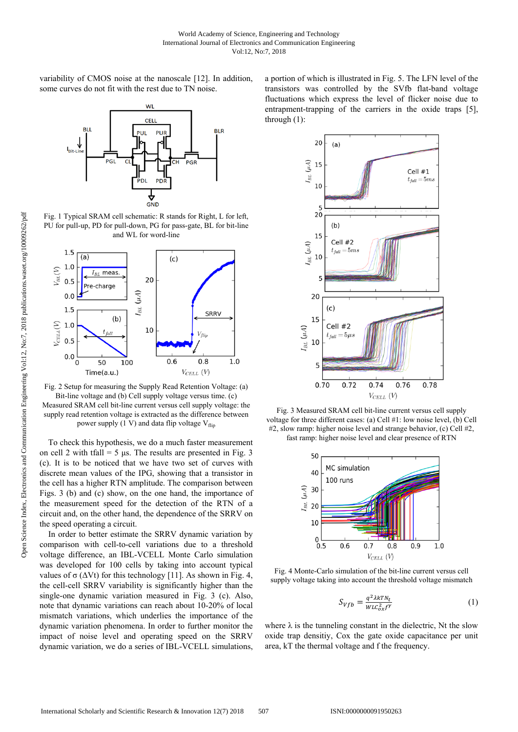variability of CMOS noise at the nanoscale [12]. In addition, some curves do not fit with the rest due to TN noise.



Fig. 1 Typical SRAM cell schematic: R stands for Right, L for left, PU for pull-up, PD for pull-down, PG for pass-gate, BL for bit-line and WL for word-line



Fig. 2 Setup for measuring the Supply Read Retention Voltage: (a) Bit-line voltage and (b) Cell supply voltage versus time. (c) Measured SRAM cell bit-line current versus cell supply voltage: the supply read retention voltage is extracted as the difference between power supply (1 V) and data flip voltage  $V_{\text{flip}}$ 

To check this hypothesis, we do a much faster measurement on cell 2 with tfall = 5 μs. The results are presented in Fig. 3 (c). It is to be noticed that we have two set of curves with discrete mean values of the IPG, showing that a transistor in the cell has a higher RTN amplitude. The comparison between Figs. 3 (b) and (c) show, on the one hand, the importance of the measurement speed for the detection of the RTN of a circuit and, on the other hand, the dependence of the SRRV on the speed operating a circuit.

In order to better estimate the SRRV dynamic variation by comparison with cell-to-cell variations due to a threshold voltage difference, an IBL-VCELL Monte Carlo simulation was developed for 100 cells by taking into account typical values of  $\sigma$  ( $\Delta Vt$ ) for this technology [11]. As shown in Fig. 4, the cell-cell SRRV variability is significantly higher than the single-one dynamic variation measured in Fig. 3 (c). Also, note that dynamic variations can reach about 10-20% of local mismatch variations, which underlies the importance of the dynamic variation phenomena. In order to further monitor the impact of noise level and operating speed on the SRRV dynamic variation, we do a series of IBL-VCELL simulations, a portion of which is illustrated in Fig. 5. The LFN level of the transistors was controlled by the SVfb flat-band voltage fluctuations which express the level of flicker noise due to entrapment-trapping of the carriers in the oxide traps [5], through (1):



Fig. 3 Measured SRAM cell bit-line current versus cell supply voltage for three different cases: (a) Cell #1: low noise level, (b) Cell #2, slow ramp: higher noise level and strange behavior, (c) Cell #2, fast ramp: higher noise level and clear presence of RTN



Fig. 4 Monte-Carlo simulation of the bit-line current versus cell supply voltage taking into account the threshold voltage mismatch

$$
S_{Vfb} = \frac{q^2 \lambda k T N_t}{W L C_{ox}^2 f^{\gamma}}
$$
 (1)

where  $\lambda$  is the tunneling constant in the dielectric, Nt the slow oxide trap densitiy, Cox the gate oxide capacitance per unit area, kT the thermal voltage and f the frequency.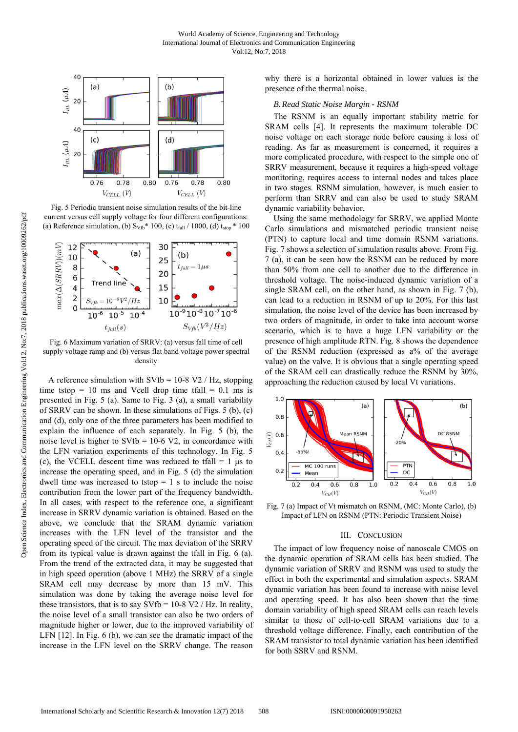

Fig. 5 Periodic transient noise simulation results of the bit-line current versus cell supply voltage for four different configurations: (a) Reference simulation, (b)  $S_{Vfb}^*$  100, (c)  $t_{fall} / 1000$ , (d)  $t_{stop}$  \* 100



Fig. 6 Maximum variation of SRRV: (a) versus fall time of cell supply voltage ramp and (b) versus flat band voltage power spectral density

A reference simulation with  $SVfb = 10-8 V2 / Hz$ , stopping time tstop  $= 10$  ms and Vcell drop time tfall  $= 0.1$  ms is presented in Fig. 5 (a). Same to Fig. 3 (a), a small variability of SRRV can be shown. In these simulations of Figs. 5 (b), (c) and (d), only one of the three parameters has been modified to explain the influence of each separately. In Fig. 5 (b), the noise level is higher to  $SVfb = 10-6 V2$ , in concordance with the LFN variation experiments of this technology. In Fig. 5 (c), the VCELL descent time was reduced to tfall  $= 1$  µs to increase the operating speed, and in Fig. 5 (d) the simulation dwell time was increased to tstop  $= 1$  s to include the noise contribution from the lower part of the frequency bandwidth. In all cases, with respect to the reference one, a significant increase in SRRV dynamic variation is obtained. Based on the above, we conclude that the SRAM dynamic variation increases with the LFN level of the transistor and the operating speed of the circuit. The max deviation of the SRRV from its typical value is drawn against the tfall in Fig. 6 (a). From the trend of the extracted data, it may be suggested that in high speed operation (above 1 MHz) the SRRV of a single SRAM cell may decrease by more than 15 mV. This simulation was done by taking the average noise level for these transistors, that is to say  $SVfb = 10-8 V2 / Hz$ . In reality, the noise level of a small transistor can also be two orders of magnitude higher or lower, due to the improved variability of LFN [12]. In Fig. 6 (b), we can see the dramatic impact of the increase in the LFN level on the SRRV change. The reason

why there is a horizontal obtained in lower values is the presence of the thermal noise.

## *B.Read Static Noise Margin - RSNM*

The RSNM is an equally important stability metric for SRAM cells [4]. It represents the maximum tolerable DC noise voltage on each storage node before causing a loss of reading. As far as measurement is concerned, it requires a more complicated procedure, with respect to the simple one of SRRV measurement, because it requires a high-speed voltage monitoring, requires access to internal nodes and takes place in two stages. RSNM simulation, however, is much easier to perform than SRRV and can also be used to study SRAM dynamic variability behavior.

Using the same methodology for SRRV, we applied Monte Carlo simulations and mismatched periodic transient noise (PTN) to capture local and time domain RSNM variations. Fig. 7 shows a selection of simulation results above. From Fig. 7 (a), it can be seen how the RSNM can be reduced by more than 50% from one cell to another due to the difference in threshold voltage. The noise-induced dynamic variation of a single SRAM cell, on the other hand, as shown in Fig. 7 (b), can lead to a reduction in RSNM of up to 20%. For this last simulation, the noise level of the device has been increased by two orders of magnitude, in order to take into account worse scenario, which is to have a huge LFN variability or the presence of high amplitude RTN. Fig. 8 shows the dependence of the RSNM reduction (expressed as a% of the average value) on the valve. It is obvious that a single operating speed of the SRAM cell can drastically reduce the RSNM by 30%, approaching the reduction caused by local Vt variations.



Fig. 7 (a) Impact of Vt mismatch on RSNM, (MC: Monte Carlo), (b) Impact of LFN on RSNM (PTN: Periodic Transient Noise)

## III. CONCLUSION

The impact of low frequency noise of nanoscale CMOS on the dynamic operation of SRAM cells has been studied. The dynamic variation of SRRV and RSNM was used to study the effect in both the experimental and simulation aspects. SRAM dynamic variation has been found to increase with noise level and operating speed. It has also been shown that the time domain variability of high speed SRAM cells can reach levels similar to those of cell-to-cell SRAM variations due to a threshold voltage difference. Finally, each contribution of the SRAM transistor to total dynamic variation has been identified for both SSRV and RSNM.